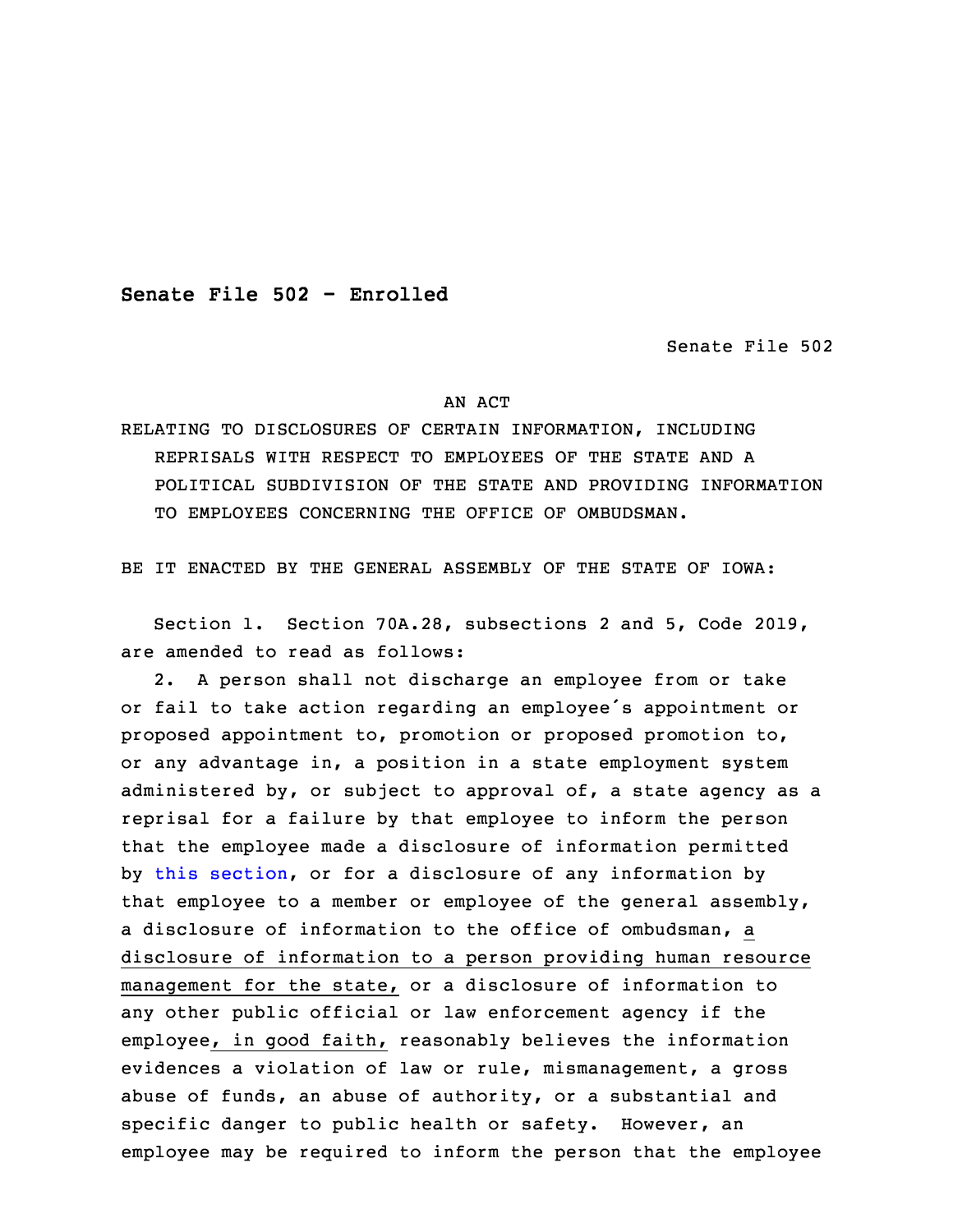**Senate File 502 - Enrolled**

Senate File 502

## AN ACT

RELATING TO DISCLOSURES OF CERTAIN INFORMATION, INCLUDING REPRISALS WITH RESPECT TO EMPLOYEES OF THE STATE AND A POLITICAL SUBDIVISION OF THE STATE AND PROVIDING INFORMATION TO EMPLOYEES CONCERNING THE OFFICE OF OMBUDSMAN.

BE IT ENACTED BY THE GENERAL ASSEMBLY OF THE STATE OF IOWA:

 Section 1. Section 70A.28, subsections 2 and 5, Code 2019, are amended to read as follows:

3 2. <sup>A</sup> person shall not discharge an employee from or take or fail to take action regarding an employee's appointment or proposed appointment to, promotion or proposed promotion to, or any advantage in, a position in a state employment system administered by, or subject to approval of, a state agency as a reprisal for a failure by that employee to inform the person that the employee made a disclosure of information permitted by this [section](https://www.legis.iowa.gov/docs/code/2019/70A.28.pdf), or for a disclosure of any information by that employee to <sup>a</sup> member or employee of the general assembly, <sup>a</sup> disclosure of information to the office of ombudsman, <sup>a</sup> disclosure of information to a person providing human resource management for the state, or <sup>a</sup> disclosure of information to any other public official or law enforcement agency if the employee, in good faith, reasonably believes the information evidences a violation of law or rule, mismanagement, a gross abuse of funds, an abuse of authority, or a substantial and specific danger to public health or safety. However, an employee may be required to inform the person that the employee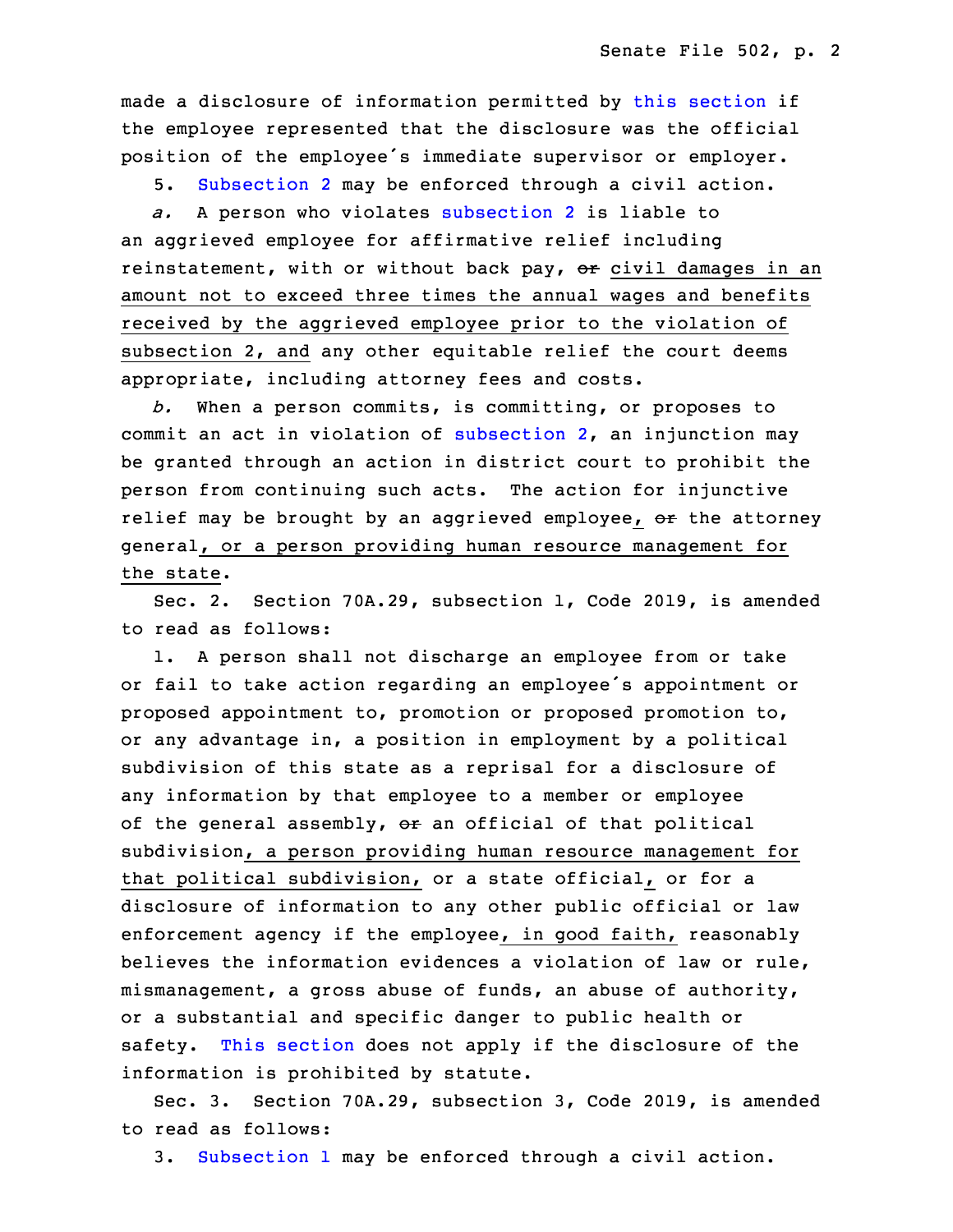made <sup>a</sup> disclosure of information permitted by this [section](https://www.legis.iowa.gov/docs/code/2019/70A.28.pdf) if the employee represented that the disclosure was the official position of the employee's immediate supervisor or employer.

5. [Subsection](https://www.legis.iowa.gov/docs/code/2019/70A.28.pdf) 2 may be enforced through <sup>a</sup> civil action.

a. A person who violates [subsection](https://www.legis.iowa.gov/docs/code/2019/70A.28.pdf) 2 is liable to an aggrieved employee for affirmative relief including reinstatement, with or without back pay,  $er$  civil damages in an amount not to exceed three times the annual wages and benefits received by the aggrieved employee prior to the violation of subsection 2, and any other equitable relief the court deems appropriate, including attorney fees and costs.

32 *b.* When <sup>a</sup> person commits, is committing, or proposes to commit an act in violation of [subsection](https://www.legis.iowa.gov/docs/code/2019/70A.28.pdf)  $2$ , an injunction may be granted through an action in district court to prohibit the person from continuing such acts. The action for injunctive relief may be brought by an aggrieved employee, or the attorney general, or <sup>a</sup> person providing human resource management for the state.

 Sec. 2. Section 70A.29, subsection 1, Code 2019, is amended to read as follows:

1. A person shall not discharge an employee from or take or fail to take action regarding an employee's appointment or proposed appointment to, promotion or proposed promotion to, or any advantage in, a position in employment by a political subdivision of this state as a reprisal for a disclosure of any information by that employee to <sup>a</sup> member or employee of the general assembly, or an official of that political subdivision, a person providing human resource management for that political subdivision, or <sup>a</sup> state official, or for <sup>a</sup> disclosure of information to any other public official or law enforcement agency if the employee, in good faith, reasonably believes the information evidences a violation of law or rule,  $mismanagement, a gross abuse of funds, an abuse of authority,$ or a substantial and specific danger to public health or safety. This [section](https://www.legis.iowa.gov/docs/code/2019/70A.29.pdf) does not apply if the disclosure of the information is prohibited by statute.

 Sec. 3. Section 70A.29, subsection 3, Code 2019, is amended to read as follows:

3. [Subsection](https://www.legis.iowa.gov/docs/code/2019/70A.29.pdf) 1 may be enforced through <sup>a</sup> civil action.